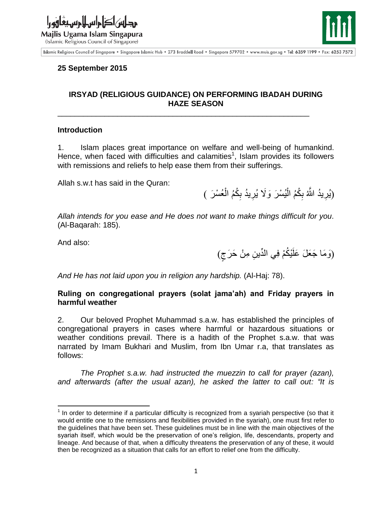





Islamic Religious Council of Singapore . Singapore Islamic Hub . 273 Braddell Road . Singapore 579702 . www.muis.gov.sg . Tel: 6359 1199 . Fax: 6253 7572

## **25 September 2015**

# **IRSYAD (RELIGIOUS GUIDANCE) ON PERFORMING IBADAH DURING HAZE SEASON**

\_\_\_\_\_\_\_\_\_\_\_\_\_\_\_\_\_\_\_\_\_\_\_\_\_\_\_\_\_\_\_\_\_\_\_\_\_\_\_\_\_\_\_\_\_\_\_\_\_\_\_\_\_\_\_\_\_\_\_

#### **Introduction**

1. Islam places great importance on welfare and well-being of humankind. Hence, when faced with difficulties and calamities<sup>1</sup>, Islam provides its followers with remissions and reliefs to help ease them from their sufferings.

Allah s.w.t has said in the Quran:

(يُرِيدُ اللَّهُ بِكُمُ الْيُسْرَ وَلَا يُرِيدُ بِكُمُ الْعُسْرَ ) ْ **∶ ∶** ْ ِ **∶** 

*Allah intends for you ease and He does not want to make things difficult for you.* (Al-Baqarah: 185).

And also:

(وَمَا جَعَلَ عَلَيْكُمْ فِي الدِّينِ مِنْ حَرَجٍ)  $\tilde{\phantom{a}}$ 

*And He has not laid upon you in religion any hardship.* (Al-Haj: 78).

### **Ruling on congregational prayers (solat jama'ah) and Friday prayers in harmful weather**

2. Our beloved Prophet Muhammad s.a.w. has established the principles of congregational prayers in cases where harmful or hazardous situations or weather conditions prevail. There is a hadith of the Prophet s.a.w. that was narrated by Imam Bukhari and Muslim, from Ibn Umar r.a, that translates as follows:

*The Prophet s.a.w. had instructed the muezzin to call for prayer (azan), and afterwards (after the usual azan), he asked the latter to call out: "It is* 

 $\overline{\phantom{a}}$  $1$  In order to determine if a particular difficulty is recognized from a syariah perspective (so that it would entitle one to the remissions and flexibilities provided in the syariah), one must first refer to the guidelines that have been set. These guidelines must be in line with the main objectives of the syariah itself, which would be the preservation of one's religion, life, descendants, property and lineage. And because of that, when a difficulty threatens the preservation of any of these, it would then be recognized as a situation that calls for an effort to relief one from the difficulty.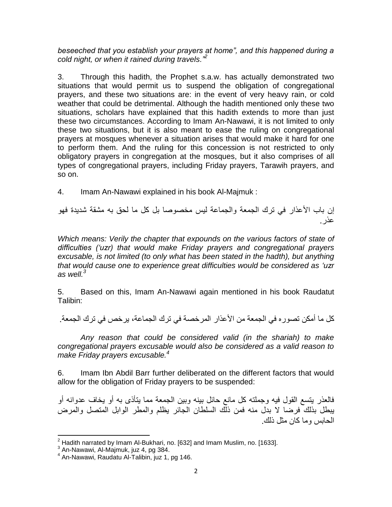*beseeched that you establish your prayers at home", and this happened during a cold night, or when it rained during travels."<sup>2</sup>*

3. Through this hadith, the Prophet s.a.w. has actually demonstrated two situations that would permit us to suspend the obligation of congregational prayers, and these two situations are: in the event of very heavy rain, or cold weather that could be detrimental. Although the hadith mentioned only these two situations, scholars have explained that this hadith extends to more than just these two circumstances. According to Imam An-Nawawi, it is not limited to only these two situations, but it is also meant to ease the ruling on congregational prayers at mosques whenever a situation arises that would make it hard for one to perform them. And the ruling for this concession is not restricted to only obligatory prayers in congregation at the mosques, but it also comprises of all types of congregational prayers, including Friday prayers, Tarawih prayers, and so on.

4. Imam An-Nawawi explained in his book Al-Majmuk :

إن باب الأعذار في ترك الجمعة والجماعة ليس مخصوصا بل كل ما لحق به مشقة شديدة فهو عذر.

*Which means: Verily the chapter that expounds on the various factors of state of difficulties ('uzr) that would make Friday prayers and congregational prayers excusable, is not limited (to only what has been stated in the hadth), but anything that would cause one to experience great difficulties would be considered as 'uzr as well. 3*

5. Based on this, Imam An-Nawawi again mentioned in his book Raudatut Talibin:

كل ما أمكن تصور ه في الجمعة من الأعذار المر خصة في تر ك الجماعة، بر خص في تر ك الجمعة.

*Any reason that could be considered valid (in the shariah) to make congregational prayers excusable would also be considered as a valid reason to make Friday prayers excusable. 4* 

6. Imam Ibn Abdil Barr further deliberated on the different factors that would allow for the obligation of Friday prayers to be suspended:

فالعذر يتسع القول فيه وجملته كل مانع حائل بينه وبين الجمعة مما يتأذى به أو يخاف عدوانه أو يبطل بذلك فرضا لا بدل منه فمن ذلك السلطان الجائر يظلم والمطر الوابل المتصل والمرض الحابس وما كان مثل ذلك.

 $\overline{\phantom{a}}$  $^{\rm 2}$  Hadith narrated by Imam Al-Bukhari, no. [632] and Imam Muslim, no. [1633].<br> $^{\rm 3}$  An-Nawawi, Al-Majmuk, juz 4, pg 384.

<sup>4</sup> An-Nawawi, Raudatu Al-Talibin, juz 1, pg 146.